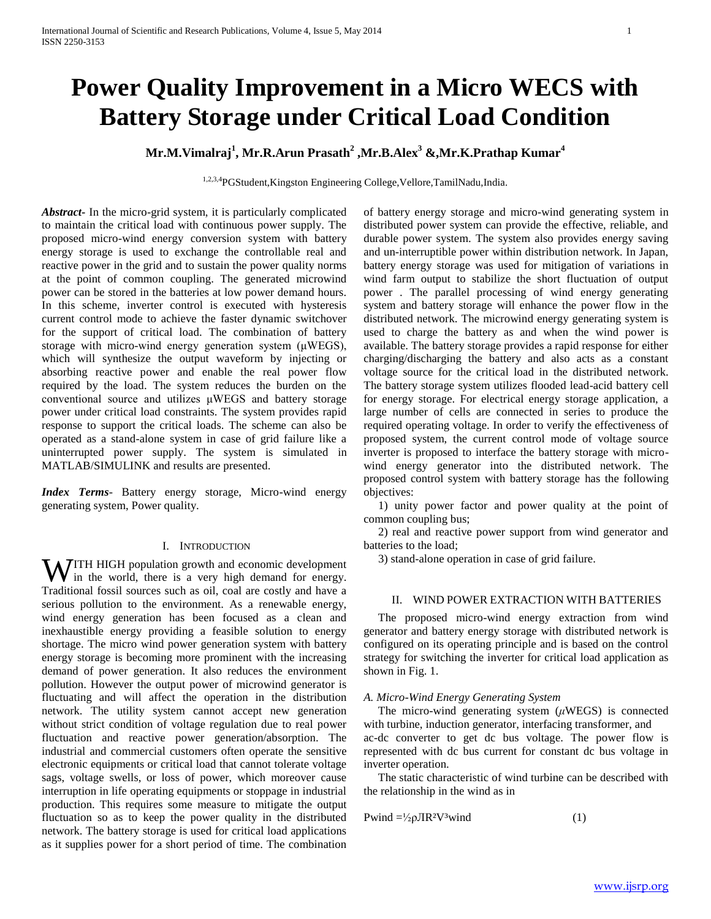# **Power Quality Improvement in a Micro WECS with Battery Storage under Critical Load Condition**

## **Mr.M.Vimalraj<sup>1</sup> , Mr.R.Arun Prasath<sup>2</sup> ,Mr.B.Alex<sup>3</sup> &,Mr.K.Prathap Kumar<sup>4</sup>**

1,2,3,4PGStudent,Kingston Engineering College,Vellore,TamilNadu,India.

*Abstract***-** In the micro-grid system, it is particularly complicated to maintain the critical load with continuous power supply. The proposed micro-wind energy conversion system with battery energy storage is used to exchange the controllable real and reactive power in the grid and to sustain the power quality norms at the point of common coupling. The generated microwind power can be stored in the batteries at low power demand hours. In this scheme, inverter control is executed with hysteresis current control mode to achieve the faster dynamic switchover for the support of critical load. The combination of battery storage with micro-wind energy generation system (μWEGS), which will synthesize the output waveform by injecting or absorbing reactive power and enable the real power flow required by the load. The system reduces the burden on the conventional source and utilizes μWEGS and battery storage power under critical load constraints. The system provides rapid response to support the critical loads. The scheme can also be operated as a stand-alone system in case of grid failure like a uninterrupted power supply. The system is simulated in MATLAB/SIMULINK and results are presented.

*Index Terms*- Battery energy storage, Micro-wind energy generating system, Power quality.

#### I. INTRODUCTION

ITH HIGH population growth and economic development WITH HIGH population growth and economic development<br>in the world, there is a very high demand for energy. Traditional fossil sources such as oil, coal are costly and have a serious pollution to the environment. As a renewable energy, wind energy generation has been focused as a clean and inexhaustible energy providing a feasible solution to energy shortage. The micro wind power generation system with battery energy storage is becoming more prominent with the increasing demand of power generation. It also reduces the environment pollution. However the output power of microwind generator is fluctuating and will affect the operation in the distribution network. The utility system cannot accept new generation without strict condition of voltage regulation due to real power fluctuation and reactive power generation/absorption. The industrial and commercial customers often operate the sensitive electronic equipments or critical load that cannot tolerate voltage sags, voltage swells, or loss of power, which moreover cause interruption in life operating equipments or stoppage in industrial production. This requires some measure to mitigate the output fluctuation so as to keep the power quality in the distributed network. The battery storage is used for critical load applications as it supplies power for a short period of time. The combination

of battery energy storage and micro-wind generating system in distributed power system can provide the effective, reliable, and durable power system. The system also provides energy saving and un-interruptible power within distribution network. In Japan, battery energy storage was used for mitigation of variations in wind farm output to stabilize the short fluctuation of output power . The parallel processing of wind energy generating system and battery storage will enhance the power flow in the distributed network. The microwind energy generating system is used to charge the battery as and when the wind power is available. The battery storage provides a rapid response for either charging/discharging the battery and also acts as a constant voltage source for the critical load in the distributed network. The battery storage system utilizes flooded lead-acid battery cell for energy storage. For electrical energy storage application, a large number of cells are connected in series to produce the required operating voltage. In order to verify the effectiveness of proposed system, the current control mode of voltage source inverter is proposed to interface the battery storage with microwind energy generator into the distributed network. The proposed control system with battery storage has the following objectives:

 1) unity power factor and power quality at the point of common coupling bus;

 2) real and reactive power support from wind generator and batteries to the load;

3) stand-alone operation in case of grid failure.

## II. WIND POWER EXTRACTION WITH BATTERIES

 The proposed micro-wind energy extraction from wind generator and battery energy storage with distributed network is configured on its operating principle and is based on the control strategy for switching the inverter for critical load application as shown in Fig. 1.

#### *A. Micro-Wind Energy Generating System*

 The micro-wind generating system (*μ*WEGS) is connected with turbine, induction generator, interfacing transformer, and ac-dc converter to get dc bus voltage. The power flow is represented with dc bus current for constant dc bus voltage in inverter operation.

 The static characteristic of wind turbine can be described with the relationship in the wind as in

$$
Pwind = \frac{1}{2} \rho JIR^2V^3wind \tag{1}
$$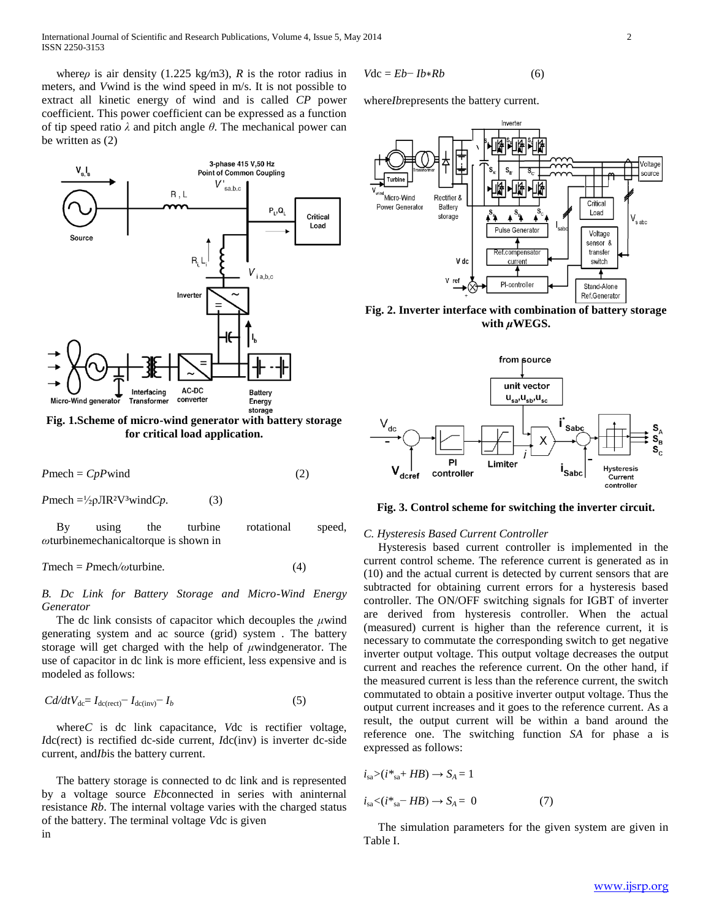where*ρ* is air density (1.225 kg/m3), *R* is the rotor radius in meters, and *V*wind is the wind speed in m/s. It is not possible to extract all kinetic energy of wind and is called *CP* power coefficient. This power coefficient can be expressed as a function of tip speed ratio *λ* and pitch angle *θ*. The mechanical power can be written as (2)



**Fig. 1.Scheme of micro-wind generator with battery storage for critical load application.**

$$
Pmech = CpPwind \tag{2}
$$

 $P$ mech =<sup>1</sup>/<sub>2</sub> $\rho$ JIR<sup>2</sup>V<sup>3</sup>wind*Cp*. (3)

 By using the turbine rotational speed, *ω*turbinemechanicaltorque is shown in

$$
Tmech = Pmech/\omega \turbine. \t\t(4)
$$

## *B. Dc Link for Battery Storage and Micro-Wind Energy Generator*

 The dc link consists of capacitor which decouples the *μ*wind generating system and ac source (grid) system . The battery storage will get charged with the help of *μ*windgenerator. The use of capacitor in dc link is more efficient, less expensive and is modeled as follows:

$$
Cd/dtV_{dc} = I_{dc(rect)} - I_{dc(inv)} - I_b
$$
\n<sup>(5)</sup>

 where*C* is dc link capacitance, *V*dc is rectifier voltage, *I*dc(rect) is rectified dc-side current, *I*dc(inv) is inverter dc-side current, and*Ib*is the battery current.

 The battery storage is connected to dc link and is represented by a voltage source *Eb*connected in series with aninternal resistance *Rb*. The internal voltage varies with the charged status of the battery. The terminal voltage *V*dc is given in

$$
Vdc = Eb - Ib * Rb \tag{6}
$$

where*Ib*represents the battery current.



**Fig. 2. Inverter interface with combination of battery storage with** *μ***WEGS.**



**Fig. 3. Control scheme for switching the inverter circuit.**

#### *C. Hysteresis Based Current Controller*

 Hysteresis based current controller is implemented in the current control scheme. The reference current is generated as in (10) and the actual current is detected by current sensors that are subtracted for obtaining current errors for a hysteresis based controller. The ON/OFF switching signals for IGBT of inverter are derived from hysteresis controller. When the actual (measured) current is higher than the reference current, it is necessary to commutate the corresponding switch to get negative inverter output voltage. This output voltage decreases the output current and reaches the reference current. On the other hand, if the measured current is less than the reference current, the switch commutated to obtain a positive inverter output voltage. Thus the output current increases and it goes to the reference current. As a result, the output current will be within a band around the reference one. The switching function *SA* for phase a is expressed as follows:

$$
i_{sa} > (i *_{sa} + HB) \rightarrow S_A = 1
$$
  

$$
i_{sa} < (i *_{sa} - HB) \rightarrow S_A = 0
$$
 (7)

 The simulation parameters for the given system are given in Table I.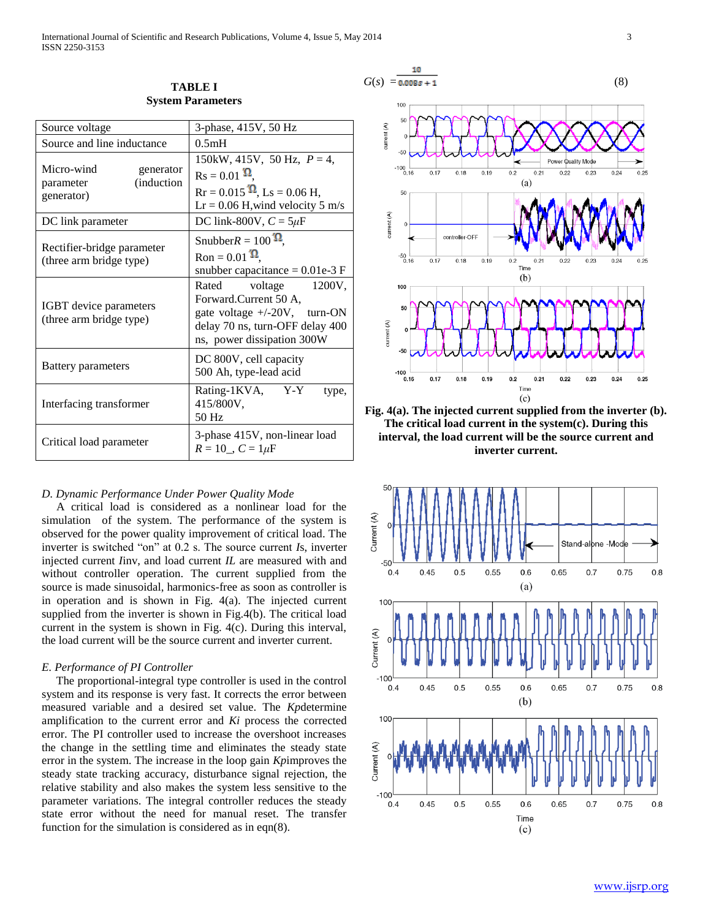| Source voltage                                                   | 3-phase, 415V, 50 Hz                                                                                                                                    |
|------------------------------------------------------------------|---------------------------------------------------------------------------------------------------------------------------------------------------------|
| Source and line inductance                                       | 0.5mH                                                                                                                                                   |
| Micro-wind<br>generator<br>(induction<br>parameter<br>generator) | 150kW, 415V, 50 Hz, $P = 4$ ,<br>$\text{Rs} = 0.01 \Omega$<br>$Rr = 0.015 \Omega$ , Ls = 0.06 H,<br>$Lr = 0.06$ H, wind velocity 5 m/s                  |
| DC link parameter                                                | DC link-800V, $C = 5\mu F$                                                                                                                              |
| Rectifier-bridge parameter<br>(three arm bridge type)            | Snubber $R = 100 \Omega$ ,<br>Ron = $0.01$ $\Omega$<br>snubber capacitance = $0.01e-3$ F                                                                |
| IGBT device parameters<br>(three arm bridge type)                | Rated<br>voltage<br>1200V.<br>Forward.Current 50 A,<br>gate voltage $+/-20V$ , turn-ON<br>delay 70 ns, turn-OFF delay 400<br>ns, power dissipation 300W |
| Battery parameters                                               | DC 800V, cell capacity<br>500 Ah, type-lead acid                                                                                                        |
| Interfacing transformer                                          | Rating-1KVA, Y-Y<br>type,<br>415/800V,<br>50 Hz                                                                                                         |
| Critical load parameter                                          | 3-phase 415V, non-linear load<br>$R = 10$ , $C = 1 \mu F$                                                                                               |

**TABLE I System Parameters**

#### *D. Dynamic Performance Under Power Quality Mode*

 A critical load is considered as a nonlinear load for the simulation of the system. The performance of the system is observed for the power quality improvement of critical load. The inverter is switched "on" at 0.2 s. The source current *I*s, inverter injected current *I*inv, and load current *IL* are measured with and without controller operation. The current supplied from the source is made sinusoidal, harmonics-free as soon as controller is in operation and is shown in Fig. 4(a). The injected current supplied from the inverter is shown in Fig.4(b). The critical load current in the system is shown in Fig. 4(c). During this interval, the load current will be the source current and inverter current.

#### *E. Performance of PI Controller*

 The proportional-integral type controller is used in the control system and its response is very fast. It corrects the error between measured variable and a desired set value. The *Kp*determine amplification to the current error and *Ki* process the corrected error. The PI controller used to increase the overshoot increases the change in the settling time and eliminates the steady state error in the system. The increase in the loop gain *Kp*improves the steady state tracking accuracy, disturbance signal rejection, the relative stability and also makes the system less sensitive to the parameter variations. The integral controller reduces the steady state error without the need for manual reset. The transfer function for the simulation is considered as in eqn(8).



**Fig. 4(a). The injected current supplied from the inverter (b). The critical load current in the system(c). During this interval, the load current will be the source current and inverter current.**

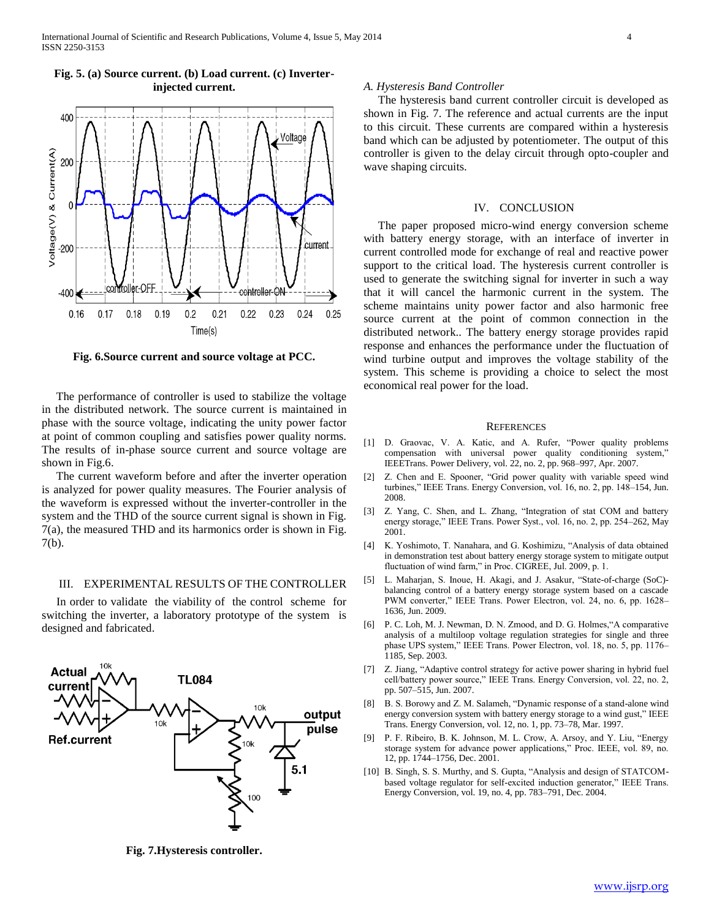

## **Fig. 5. (a) Source current. (b) Load current. (c) Inverterinjected current.**

**Fig. 6.Source current and source voltage at PCC.**

 The performance of controller is used to stabilize the voltage in the distributed network. The source current is maintained in phase with the source voltage, indicating the unity power factor at point of common coupling and satisfies power quality norms. The results of in-phase source current and source voltage are shown in Fig.6.

 The current waveform before and after the inverter operation is analyzed for power quality measures. The Fourier analysis of the waveform is expressed without the inverter-controller in the system and the THD of the source current signal is shown in Fig. 7(a), the measured THD and its harmonics order is shown in Fig. 7(b).

#### III. EXPERIMENTAL RESULTS OF THE CONTROLLER

 In order to validate the viability of the control scheme for switching the inverter, a laboratory prototype of the system is designed and fabricated.



**Fig. 7.Hysteresis controller.**

#### *A. Hysteresis Band Controller*

 The hysteresis band current controller circuit is developed as shown in Fig. 7. The reference and actual currents are the input to this circuit. These currents are compared within a hysteresis band which can be adjusted by potentiometer. The output of this controller is given to the delay circuit through opto-coupler and wave shaping circuits.

#### IV. CONCLUSION

 The paper proposed micro-wind energy conversion scheme with battery energy storage, with an interface of inverter in current controlled mode for exchange of real and reactive power support to the critical load. The hysteresis current controller is used to generate the switching signal for inverter in such a way that it will cancel the harmonic current in the system. The scheme maintains unity power factor and also harmonic free source current at the point of common connection in the distributed network.. The battery energy storage provides rapid response and enhances the performance under the fluctuation of wind turbine output and improves the voltage stability of the system. This scheme is providing a choice to select the most economical real power for the load.

#### **REFERENCES**

- [1] D. Graovac, V. A. Katic, and A. Rufer, "Power quality problems compensation with universal power quality conditioning system," IEEETrans. Power Delivery, vol. 22, no. 2, pp. 968–997, Apr. 2007.
- [2] Z. Chen and E. Spooner, "Grid power quality with variable speed wind turbines," IEEE Trans. Energy Conversion, vol. 16, no. 2, pp. 148–154, Jun. 2008.
- [3] Z. Yang, C. Shen, and L. Zhang, "Integration of stat COM and battery energy storage," IEEE Trans. Power Syst., vol. 16, no. 2, pp. 254–262, May 2001.
- [4] K. Yoshimoto, T. Nanahara, and G. Koshimizu, "Analysis of data obtained in demonstration test about battery energy storage system to mitigate output fluctuation of wind farm," in Proc. CIGREE, Jul. 2009, p. 1.
- [5] L. Maharjan, S. Inoue, H. Akagi, and J. Asakur, "State-of-charge (SoC) balancing control of a battery energy storage system based on a cascade PWM converter," IEEE Trans. Power Electron, vol. 24, no. 6, pp. 1628– 1636, Jun. 2009.
- [6] P. C. Loh, M. J. Newman, D. N. Zmood, and D. G. Holmes,"A comparative analysis of a multiloop voltage regulation strategies for single and three phase UPS system," IEEE Trans. Power Electron, vol. 18, no. 5, pp. 1176– 1185, Sep. 2003.
- [7] Z. Jiang, "Adaptive control strategy for active power sharing in hybrid fuel cell/battery power source," IEEE Trans. Energy Conversion, vol. 22, no. 2, pp. 507–515, Jun. 2007.
- [8] B. S. Borowy and Z. M. Salameh, "Dynamic response of a stand-alone wind energy conversion system with battery energy storage to a wind gust," IEEE Trans. Energy Conversion, vol. 12, no. 1, pp. 73–78, Mar. 1997.
- [9] P. F. Ribeiro, B. K. Johnson, M. L. Crow, A. Arsoy, and Y. Liu, "Energy storage system for advance power applications," Proc. IEEE, vol. 89, no. 12, pp. 1744–1756, Dec. 2001.
- [10] B. Singh, S. S. Murthy, and S. Gupta, "Analysis and design of STATCOMbased voltage regulator for self-excited induction generator," IEEE Trans. Energy Conversion, vol. 19, no. 4, pp. 783–791, Dec. 2004.